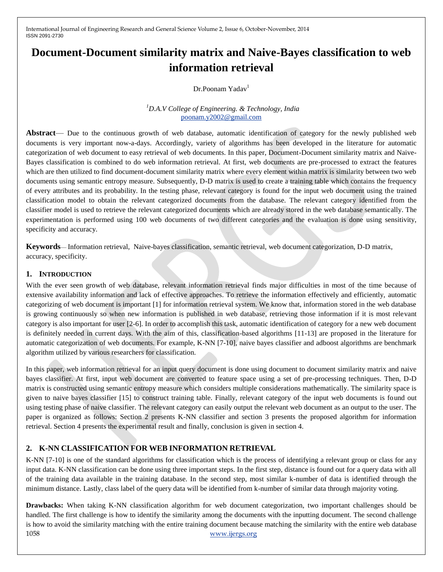# **Document-Document similarity matrix and Naive-Bayes classification to web information retrieval**

Dr.Poonam Yadav<sup>1</sup>

## *<sup>1</sup>D.A.V College of Engineering. & Technology, India*  [poonam.y2002@gmail.com](mailto:fpooirst.author@first-third.edu)

**Abstract**— Due to the continuous growth of web database, automatic identification of category for the newly published web documents is very important now-a-days. Accordingly, variety of algorithms has been developed in the literature for automatic categorization of web document to easy retrieval of web documents. In this paper, Document-Document similarity matrix and Naive-Bayes classification is combined to do web information retrieval. At first, web documents are pre-processed to extract the features which are then utilized to find document-document similarity matrix where every element within matrix is similarity between two web documents using semantic entropy measure. Subsequently, D-D matrix is used to create a training table which contains the frequency of every attributes and its probability. In the testing phase, relevant category is found for the input web document using the trained classification model to obtain the relevant categorized documents from the database. The relevant category identified from the classifier model is used to retrieve the relevant categorized documents which are already stored in the web database semantically. The experimentation is performed using 100 web documents of two different categories and the evaluation is done using sensitivity, specificity and accuracy.

**Keywords**— Information retrieval, Naive-bayes classification, semantic retrieval, web document categorization, D-D matrix, accuracy, specificity.

## **1. INTRODUCTION**

With the ever seen growth of web database, relevant information retrieval finds major difficulties in most of the time because of extensive availability information and lack of effective approaches. To retrieve the information effectively and efficiently, automatic categorizing of web document is important [1] for information retrieval system. We know that, information stored in the web database is growing continuously so when new information is published in web database, retrieving those information if it is most relevant category is also important for user [2-6]. In order to accomplish this task, automatic identification of category for a new web document is definitely needed in current days. With the aim of this, classification-based algorithms [11-13] are proposed in the literature for automatic categorization of web documents. For example, K-NN [7-10], naive bayes classifier and adboost algorithms are benchmark algorithm utilized by various researchers for classification.

In this paper, web information retrieval for an input query document is done using document to document similarity matrix and naive bayes classifier. At first, input web document are converted to feature space using a set of pre-processing techniques. Then, D-D matrix is constructed using semantic entropy measure which considers multiple considerations mathematically. The similarity space is given to naive bayes classifier [15] to construct training table. Finally, relevant category of the input web documents is found out using testing phase of naive classifier. The relevant category can easily output the relevant web document as an output to the user. The paper is organized as follows: Section 2 presents K-NN classifier and section 3 presents the proposed algorithm for information retrieval. Section 4 presents the experimental result and finally, conclusion is given in section 4.

# **2. K-NN CLASSIFICATION FOR WEB INFORMATION RETRIEVAL**

K-NN [7-10] is one of the standard algorithms for classification which is the process of identifying a relevant group or class for any input data. K-NN classification can be done using three important steps. In the first step, distance is found out for a query data with all of the training data available in the training database. In the second step, most similar k-number of data is identified through the minimum distance. Lastly, class label of the query data will be identified from k-number of similar data through majority voting.

1058 www.ijergs.org **Drawbacks:** When taking K-NN classification algorithm for web document categorization, two important challenges should be handled. The first challenge is how to identify the similarity among the documents with the inputting document. The second challenge is how to avoid the similarity matching with the entire training document because matching the similarity with the entire web database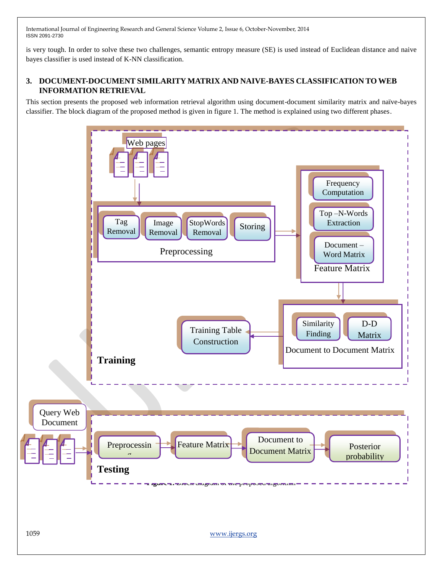is very tough. In order to solve these two challenges, semantic entropy measure (SE) is used instead of Euclidean distance and naive bayes classifier is used instead of K-NN classification.

# **3. DOCUMENT-DOCUMENT SIMILARITY MATRIX AND NAIVE-BAYES CLASSIFICATION TO WEB INFORMATION RETRIEVAL**

This section presents the proposed web information retrieval algorithm using document-document similarity matrix and naïve-bayes classifier. The block diagram of the proposed method is given in figure 1. The method is explained using two different phases.

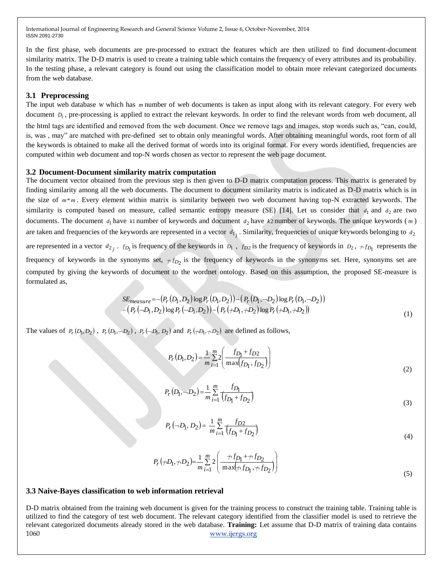In the first phase, web documents are pre-processed to extract the features which are then utilized to find document-document similarity matrix. The D-D matrix is used to create a training table which contains the frequency of every attributes and its probability. In the testing phase, a relevant category is found out using the classification model to obtain more relevant categorized documents from the web database.

## **3.1 Preprocessing**

The input web database *W* which has *m* number of web documents is taken as input along with its relevant category. For every web document  $D_i$ , pre-processing is applied to extract the relevant keywords. In order to find the relevant words from web document, all the html tags are identified and removed from the web document. Once we remove tags and images, stop words such as, "can, could, is, was , may" are matched with pre-defined set to obtain only meaningful words. After obtaining meaningful words, root form of all the keywords is obtained to make all the derived format of words into its original format. For every words identified, frequencies are computed within web document and top-N words chosen as vector to represent the web page document.

#### **3.2 Document-Document similarity matrix computation**

The document vector obtained from the previous step is then given to D-D matrix computation process. This matrix is generated by finding similarity among all the web documents. The document to document similarity matrix is indicated as D-D matrix which is in the size of  $m*m$ . Every element within matrix is similarity between two web document having top-N extracted keywords. The similarity is computed based on measure, called semantic entropy measure (SE) [14]. Let us consider that  $d_1$  and  $d_2$  are two documents. The document  $d_1$  have  $k1$  number of keywords and document  $d_2$  have  $k2$  number of keywords. The unique keywords (*m*) are taken and frequencies of the keywords are represented in a vector  $d_{1j}$ . Similarity, frequencies of unique keywords belonging to  $d_2$ are represented in a vector  $d_{2j}$ .  $f_{D_1}$  is frequency of the keywords in  $D_1$ ,  $f_{D_2}$  is the frequency of keywords in  $D_2$ ,  $f_{D_1}$  represents the frequency of keywords in the synonyms set,  $+f_{D_2}$  is the frequency of keywords in the synonyms set. Here, synonyms set are computed by giving the keywords of document to the wordnet ontology. Based on this assumption, the proposed SE-measure is formulated as,

$$
SE_{measure} = -(P_r(D_1, D_2) \log P_r(D_1, D_2)) - (P_r(D_1, \neg D_2) \log P_r(D_1, \neg D_2))
$$
  
- 
$$
(P_r(-D_1, D_2) \log P_r(-D_1, D_2)) - (P_r(\neg D_1, \neg D_2) \log P_r(\neg D_1, \neg D_2))
$$
 (1)

The values of  $P_r(D_1, D_2)$ ,  $P_r(D_1, D_2)$ ,  $P_r(\neg D_1, D_2)$  and  $P_r(\neg D_1, \neg D_2)$  are defined as follows,

$$
P_r(D_1, D_2) = \frac{1}{m} \sum_{i=1}^{m} 2 \left( \frac{f_{D_1} + f_{D2}}{\max(f_{D_1}, f_{D_2})} \right)
$$
(2)

$$
P_r(D_1, \neg D_2) = \frac{1}{m} \sum_{i=1}^{m} \frac{f_{D_1}}{(f_{D_1} + f_{D_2})}
$$
\n(3)

 $(-D_1, D_2) = \frac{1}{m} \sum_{i=1}^{m} \frac{J D2}{(f_{D_1} + f_{D_2})}$  $(-D_1, D_2) = \frac{1}{m} \sum_{i=1}^{m} \frac{f_{D_i}}{(f_{D_1} +)}$  $i=1$   $\{CD_1 + JD_2$  $P_r(\neg D_1, D_2) = \frac{1}{m} \sum_{i=1}^{m} \frac{f_{D2}}{(f_{D_1} + f_{D_2})}$ *f*  $P_r(-D_1, D_2) = \frac{1}{m}$ 1  $\bigl($ *UD*<sub>1</sub> + *JD*<sub>2</sub>  $D_1, D_2$  =  $\frac{1}{m} \sum_{r=1}^{m} \frac{f_{D2}}{r_{P-1}}$  $(D_2) = \frac{1}{2}$ (4)

$$
P_r(\n\pi D_1, \n\pi D_2) = \frac{1}{m} \sum_{i=1}^{m} 2 \left( \frac{\n\pi f_{D_1} + \n\pi f_{D_2}}{\max(\n\pi f_{D_1}, \n\pi f_{D_2})} \right)
$$
\n(5)

**3.3 Naive-Bayes classification to web information retrieval**

1060 www.ijergs.org D-D matrix obtained from the training web document is given for the training process to construct the training table. Training table is utilized to find the category of test web document. The relevant category identified from the classifier model is used to retrieve the relevant categorized documents already stored in the web database. **Training:** Let assume that D-D matrix of training data contains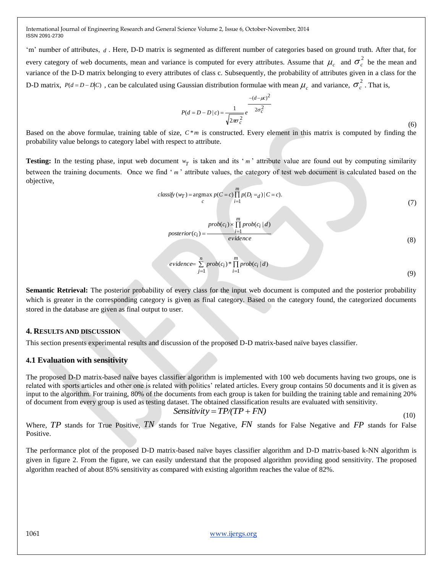$p<sub>0</sub>$ 

'm' number of attributes, d. Here, D-D matrix is segmented as different number of categories based on ground truth. After that, for every category of web documents, mean and variance is computed for every attributes. Assume that  $\mu_c$  and  $\sigma_c^2$  be the mean and variance of the D-D matrix belonging to every attributes of class c. Subsequently, the probability of attributes given in a class for the D-D matrix,  $P(d = D - D|C)$ , can be calculated using Gaussian distribution formulae with mean  $\mu_c$  and variance,  $\sigma_c^2$ . That is,

$$
P(d = D - D \mid c) = \frac{1}{\sqrt{2\pi r^2} e^{-\frac{-(d - \mu c)}{2\sigma_c^2}}}
$$

 (6) Based on the above formulae, training table of size,  $C^*m$  is constructed. Every element in this matrix is computed by finding the probability value belongs to category label with respect to attribute.

**Testing:** In the testing phase, input web document  $w_T$  is taken and its 'm' attribute value are found out by computing similarity between the training documents. Once we find 'm' attribute values, the category of test web document is calculated based on the objective,

$$
classify(w_T) = \underset{c}{\operatorname{argmax}} p(C = c) \prod_{i=1}^{m} p(D_i = d) | C = c).
$$
\n<sup>(7)</sup>

2

$$
bsterior(c_i) = \frac{prob(c_i) \times \prod_{i=1}^{m} prob(c_i | d)}{evidence}
$$

(8)

$$
evidence = \sum_{j=1}^{n} prob(c_i) * \prod_{i=1}^{m} prob(c_i | d)
$$
\n(9)

**Semantic Retrieval:** The posterior probability of every class for the input web document is computed and the posterior probability which is greater in the corresponding category is given as final category. Based on the category found, the categorized documents stored in the database are given as final output to user.

#### **4. RESULTS AND DISCUSSION**

This section presents experimental results and discussion of the proposed D-D matrix-based naïve bayes classifier.

#### **4.1 Evaluation with sensitivity**

The proposed D-D matrix-based naïve bayes classifier algorithm is implemented with 100 web documents having two groups, one is related with sports articles and other one is related with politics' related articles. Every group contains 50 documents and it is given as input to the algorithm. For training, 80% of the documents from each group is taken for building the training table and remaining 20% of document from every group is used as testing dataset. The obtained classification results are evaluated with sensitivity.

$$
Sensitivity = TP/TP + FN)
$$

(10)

Where, *TP* stands for True Positive, *TN* stands for True Negative, *FN* stands for False Negative and *FP* stands for False Positive.

The performance plot of the proposed D-D matrix-based naïve bayes classifier algorithm and D-D matrix-based k-NN algorithm is given in figure 2. From the figure, we can easily understand that the proposed algorithm providing good sensitivity. The proposed algorithm reached of about 85% sensitivity as compared with existing algorithm reaches the value of 82%.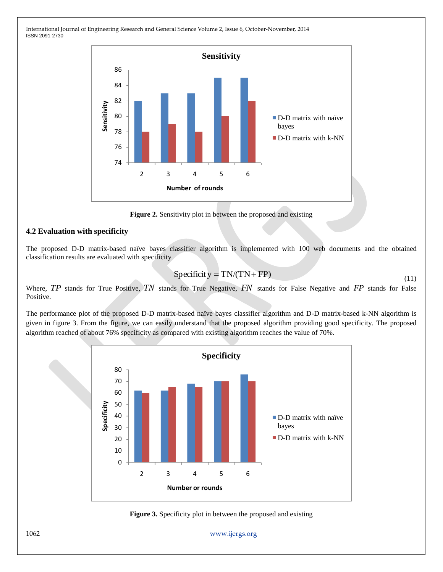

**Figure 2.** Sensitivity plot in between the proposed and existing

## **4.2 Evaluation with specificity**

The proposed D-D matrix-based naïve bayes classifier algorithm is implemented with 100 web documents and the obtained classification results are evaluated with specificity

$$
Specificity = TN/(TN + FP)
$$
\n(11)

Where, TP stands for True Positive, TN stands for True Negative, FN stands for False Negative and FP stands for False Positive.

The performance plot of the proposed D-D matrix-based naïve bayes classifier algorithm and D-D matrix-based k-NN algorithm is given in figure 3. From the figure, we can easily understand that the proposed algorithm providing good specificity. The proposed algorithm reached of about 76% specificity as compared with existing algorithm reaches the value of 70%.





1062 www.ijergs.org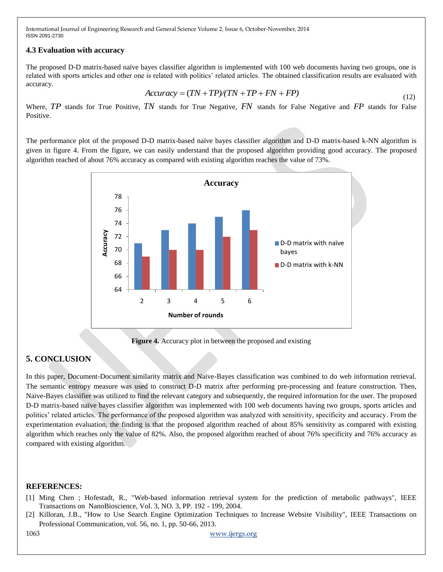## **4.3 Evaluation with accuracy**

The proposed D-D matrix-based naïve bayes classifier algorithm is implemented with 100 web documents having two groups, one is related with sports articles and other one is related with politics' related articles. The obtained classification results are evaluated with accuracy.

$$
Accuracy = (TN + TP)/(TN + TP + FN + FP)
$$
\n(12)

Where, TP stands for True Positive, TN stands for True Negative, FN stands for False Negative and FP stands for False Positive.

The performance plot of the proposed D-D matrix-based naïve bayes classifier algorithm and D-D matrix-based k-NN algorithm is given in figure 4. From the figure, we can easily understand that the proposed algorithm providing good accuracy. The proposed algorithm reached of about 76% accuracy as compared with existing algorithm reaches the value of 73%.



**Figure 4.** Accuracy plot in between the proposed and existing

# **5. CONCLUSION**

In this paper, Document-Document similarity matrix and Naive-Bayes classification was combined to do web information retrieval. The semantic entropy measure was used to construct D-D matrix after performing pre-processing and feature construction. Then, Naive-Bayes classifier was utilized to find the relevant category and subsequently, the required information for the user. The proposed D-D matrix-based naïve bayes classifier algorithm was implemented with 100 web documents having two groups, sports articles and politics' related articles. The performance of the proposed algorithm was analyzed with sensitivity, specificity and accuracy. From the experimentation evaluation, the finding is that the proposed algorithm reached of about 85% sensitivity as compared with existing algorithm which reaches only the value of 82%. Also, the proposed algorithm reached of about 76% specificity and 76% accuracy as compared with existing algorithm.

## **REFERENCES:**

- [1] Ming Chen ; Hofestadt, R., "Web-based information retrieval system for the prediction of metabolic pathways", IEEE Transactions on NanoBioscience, Vol. 3, NO. 3, PP. 192 - 199, 2004.
- [2] Killoran, J.B., "How to Use Search Engine Optimization Techniques to Increase Website Visibility", IEEE Transactions on Professional Communication, vol. 56, no. 1, pp. 50-66, 2013.